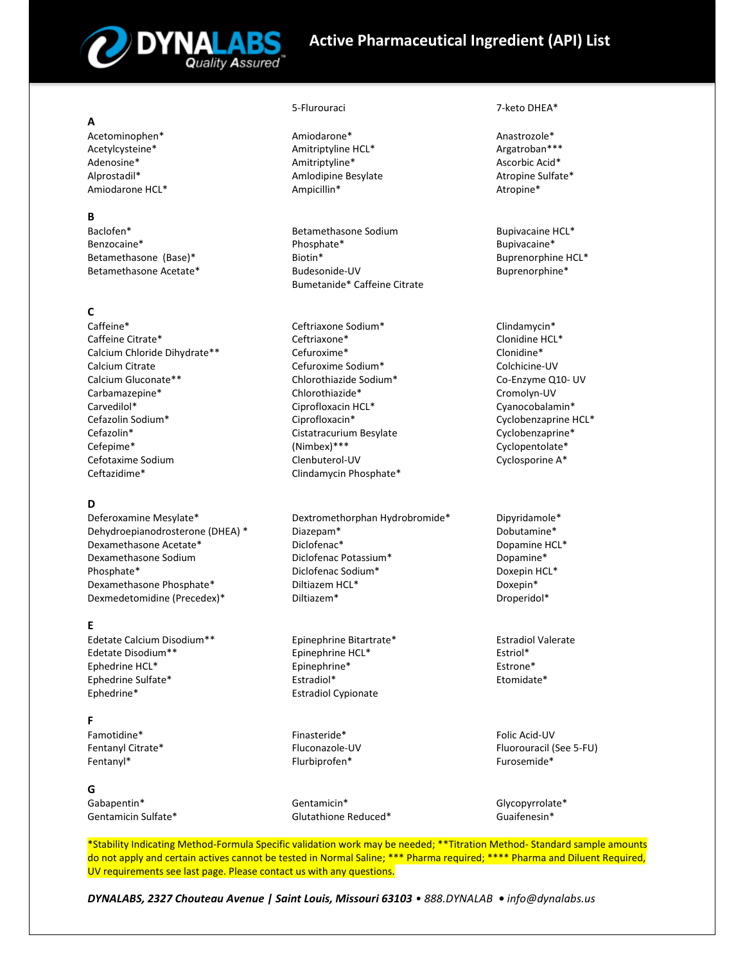

# **Active Pharmaceutical Ingredient (API) List**

## **A**

Acetominophen\* Acetylcysteine\* Adenosine\* Alprostadil\* Amiodarone HCL\*

## **B**

Baclofen\* Benzocaine\* Betamethasone (Base)\* Betamethasone Acetate\*

# **C**

Caffeine\* Caffeine Citrate\* Calcium Chloride Dihydrate\*\* Calcium Citrate Calcium Gluconate\*\* Carbamazepine\* Carvedilol\* Cefazolin Sodium\* Cefazolin\* Cefepime\* Cefotaxime Sodium Ceftazidime\*

# **D**

Deferoxamine Mesylate\* Dehydroepianodrosterone (DHEA) \* Dexamethasone Acetate\* Dexamethasone Sodium Phosphate\* Dexamethasone Phosphate\* Dexmedetomidine (Precedex)\*

# **E**

Edetate Calcium Disodium\*\* Edetate Disodium\*\* Ephedrine HCL\* Ephedrine Sulfate\* Ephedrine\*

# **F**

Famotidine\* Fentanyl Citrate\* Fentanyl\*

### **G**

Gabapentin\* Gentamicin Sulfate\*

Amiodarone\* Amitriptyline HCL\* Amitriptyline\* Amlodipine Besylate Ampicillin\*

Betamethasone Sodium Phosphate\* Biotin\* Budesonide-UV Bumetanide\* Caffeine Citrate

Ceftriaxone Sodium\* Ceftriaxone\* Cefuroxime\* Cefuroxime Sodium\* Chlorothiazide Sodium\* Chlorothiazide\* Ciprofloxacin HCL\* Ciprofloxacin\* Cistatracurium Besylate (Nimbex)\*\*\* Clenbuterol-UV Clindamycin Phosphate\*

Dextromethorphan Hydrobromide\* Diazepam\* Diclofenac\* Diclofenac Potassium\* Diclofenac Sodium\* Diltiazem HCL\* Diltiazem\*

Epinephrine Bitartrate\* Epinephrine HCL\* Epinephrine\* Estradiol\* Estradiol Cypionate

Finasteride\* Fluconazole-UV Flurbiprofen\*

Gentamicin\* Glutathione Reduced\*

#### 5-Flurouraci 7-keto DHEA\*

Anastrozole\* Argatroban\*\*\* Ascorbic Acid\* Atropine Sulfate\* Atropine\*

Bupivacaine HCL\* Bupivacaine\* Buprenorphine HCL\* Buprenorphine\*

Clindamycin\* Clonidine HCL\* Clonidine\* Colchicine-UV Co-Enzyme Q10- UV Cromolyn-UV Cyanocobalamin\* Cyclobenzaprine HCL\* Cyclobenzaprine\* Cyclopentolate\* Cyclosporine A\*

Dipyridamole\* Dobutamine\* Dopamine HCL\* Dopamine\* Doxepin HCL\* Doxepin\* Droperidol\*

Estradiol Valerate Estriol\* Estrone\* Etomidate\*

Folic Acid-UV Fluorouracil (See 5-FU) Furosemide\*

Glycopyrrolate\* Guaifenesin\*

\*Stability Indicating Method-Formula Specific validation work may be needed; \*\*Titration Method- Standard sample amounts do not apply and certain actives cannot be tested in Normal Saline; \*\*\* Pharma required; \*\*\*\* Pharma and Diluent Required, UV requirements see last page. Please contact us with any questions.

*DYNALABS, 2327 Chouteau Avenue | Saint Louis, Missouri 63103 • 888.DYNALAB • info@dynalabs.us*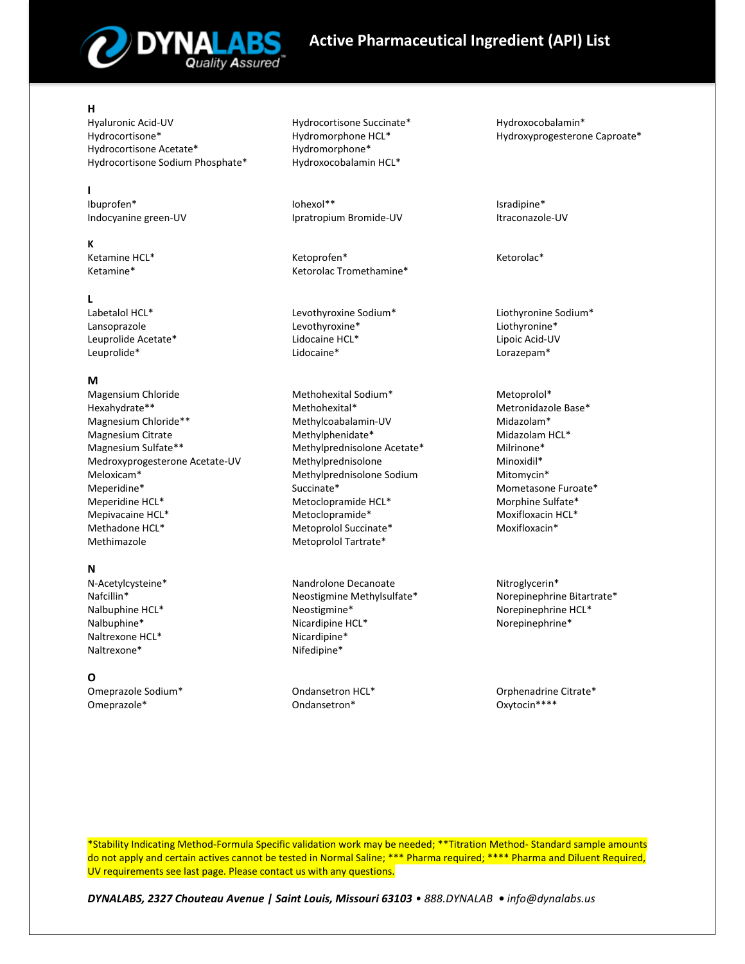

# **Active Pharmaceutical Ingredient (API) List**

### **H**

Hyaluronic Acid-UV Hydrocortisone\* Hydrocortisone Acetate\* Hydrocortisone Sodium Phosphate\*

**I**  Ibuprofen\* Indocyanine green-UV

#### **K**

Ketamine HCL\* Ketamine\*

#### **L**

Labetalol HCL\* Lansoprazole Leuprolide Acetate\* Leuprolide\*

### **M**

Magensium Chloride Hexahydrate\*\* Magnesium Chloride\*\* Magnesium Citrate Magnesium Sulfate\*\* Medroxyprogesterone Acetate-UV Meloxicam\* Meperidine\* Meperidine HCL\* Mepivacaine HCL\* Methadone HCL\* Methimazole

# **N**

N-Acetylcysteine\* Nafcillin\* Nalbuphine HCL\* Nalbuphine\* Naltrexone HCL\* Naltrexone\*

# **O**

Omeprazole Sodium\* Omeprazole\*

Hydrocortisone Succinate\* Hydromorphone HCL\* Hydromorphone\* Hydroxocobalamin HCL\*

Iohexol\*\* Ipratropium Bromide-UV

Ketoprofen\* Ketorolac Tromethamine\*

Levothyroxine Sodium\* Levothyroxine\* Lidocaine HCL\* Lidocaine\*

Methohexital Sodium\* Methohexital\* Methylcoabalamin-UV Methylphenidate\* Methylprednisolone Acetate\* Methylprednisolone Methylprednisolone Sodium Succinate\* Metoclopramide HCL\* Metoclopramide\* Metoprolol Succinate\* Metoprolol Tartrate\*

Nandrolone Decanoate Neostigmine Methylsulfate\* Neostigmine\* Nicardipine HCL\* Nicardipine\* Nifedipine\*

Ondansetron HCL\* Ondansetron\*

Hydroxocobalamin\* Hydroxyprogesterone Caproate\*

Isradipine\* Itraconazole-UV

Ketorolac\*

Liothyronine Sodium\* Liothyronine\* Lipoic Acid-UV Lorazepam\*

Metoprolol\* Metronidazole Base\* Midazolam\* Midazolam HCL\* Milrinone\* Minoxidil\* Mitomycin\* Mometasone Furoate\* Morphine Sulfate\* Moxifloxacin HCL\* Moxifloxacin\*

Nitroglycerin\* Norepinephrine Bitartrate\* Norepinephrine HCL\* Norepinephrine\*

Orphenadrine Citrate\* Oxytocin\*\*\*\*

\*Stability Indicating Method-Formula Specific validation work may be needed; \*\*Titration Method- Standard sample amounts do not apply and certain actives cannot be tested in Normal Saline; \*\*\* Pharma required; \*\*\*\* Pharma and Diluent Required, UV requirements see last page. Please contact us with any questions.

*DYNALABS, 2327 Chouteau Avenue | Saint Louis, Missouri 63103 • 888.DYNALAB • info@dynalabs.us*